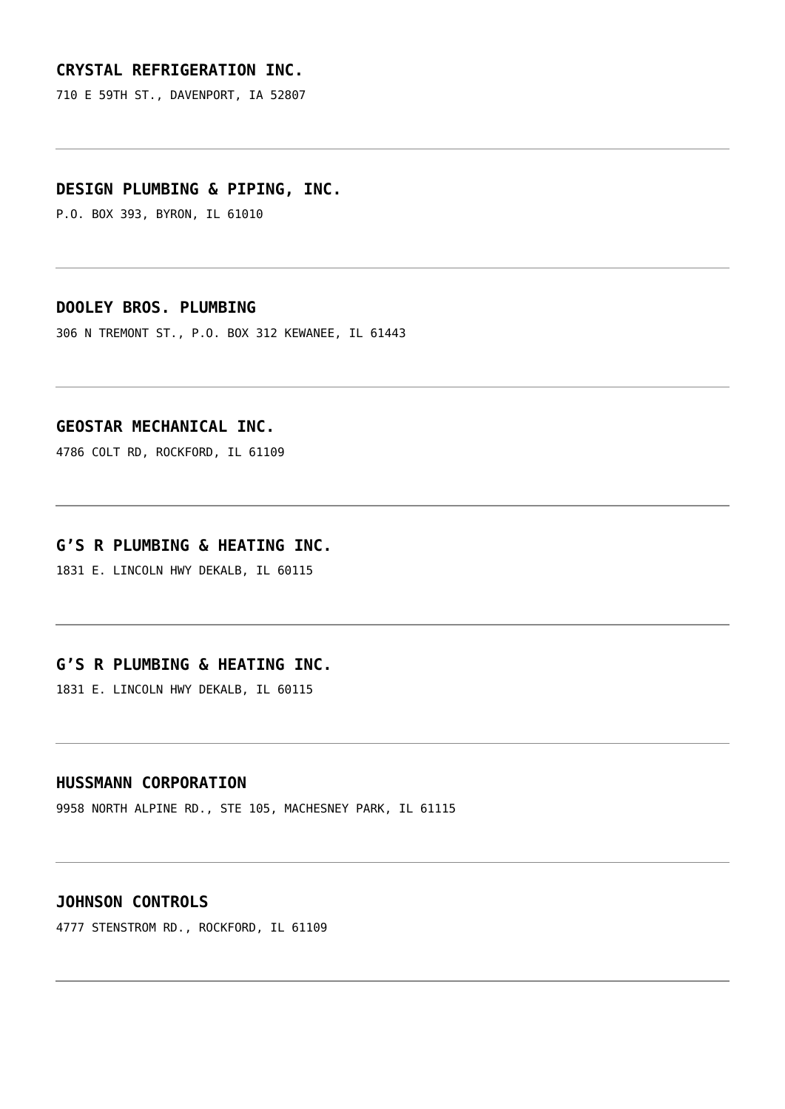# **[CRYSTAL REFRIGERATION INC.](https://www.nwibt.org/contractor/crystal-refrigeration-inc/)**

710 E 59TH ST., DAVENPORT, IA 52807

#### **[DESIGN PLUMBING & PIPING, INC.](https://www.nwibt.org/contractor/design-plumbing-piping-inc-134/)**

P.O. BOX 393, BYRON, IL 61010

#### **[DOOLEY BROS. PLUMBING](https://www.nwibt.org/contractor/dooley-bros-plumbing-135/)**

306 N TREMONT ST., P.O. BOX 312 KEWANEE, IL 61443

### **[GEOSTAR MECHANICAL INC.](https://www.nwibt.org/contractor/geostar-mechanical-inc-139/)**

4786 COLT RD, ROCKFORD, IL 61109

#### **[G'S R PLUMBING & HEATING INC.](https://www.nwibt.org/contractor/gs-r-plumbing-heating-inc-138/)**

1831 E. LINCOLN HWY DEKALB, IL 60115

# **[G'S R PLUMBING & HEATING INC.](https://www.nwibt.org/contractor/gs-r-plumbing-heating-inc-2/)**

1831 E. LINCOLN HWY DEKALB, IL 60115

#### **[HUSSMANN CORPORATION](https://www.nwibt.org/contractor/hussmann-corporation/)**

9958 NORTH ALPINE RD., STE 105, MACHESNEY PARK, IL 61115

#### **[JOHNSON CONTROLS](https://www.nwibt.org/contractor/johnson-controls-140/)**

4777 STENSTROM RD., ROCKFORD, IL 61109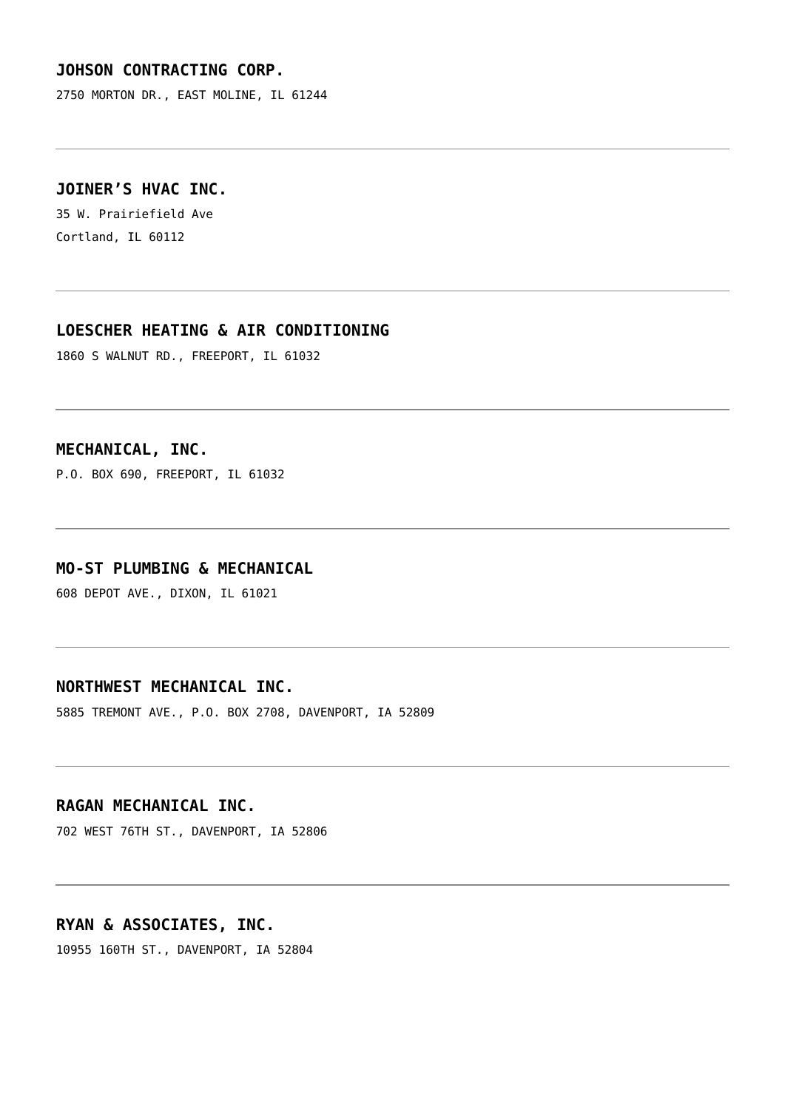# **[JOHSON CONTRACTING CORP.](https://www.nwibt.org/contractor/johson-contracting-corp/)**

2750 MORTON DR., EAST MOLINE, IL 61244

# **[JOINER'S HVAC INC.](https://www.nwibt.org/contractor/joiners-hvac-inc/)**

35 W. Prairiefield Ave Cortland, IL 60112

# **[LOESCHER HEATING & AIR CONDITIONING](https://www.nwibt.org/contractor/loescher-heating-air-conditioning-141/)**

1860 S WALNUT RD., FREEPORT, IL 61032

# **[MECHANICAL, INC.](https://www.nwibt.org/contractor/mechanical-inc-142/)**

P.O. BOX 690, FREEPORT, IL 61032

#### **[MO-ST PLUMBING & MECHANICAL](https://www.nwibt.org/contractor/mo-st-plumbing-mechanical-145/)**

608 DEPOT AVE., DIXON, IL 61021

# **[NORTHWEST MECHANICAL INC.](https://www.nwibt.org/contractor/northwest-mechanical-inc-148/)**

5885 TREMONT AVE., P.O. BOX 2708, DAVENPORT, IA 52809

# **[RAGAN MECHANICAL INC.](https://www.nwibt.org/contractor/ragan-mechanical-inc-149/)**

702 WEST 76TH ST., DAVENPORT, IA 52806

#### **[RYAN & ASSOCIATES, INC.](https://www.nwibt.org/contractor/ryan-associates-inc-150/)**

10955 160TH ST., DAVENPORT, IA 52804